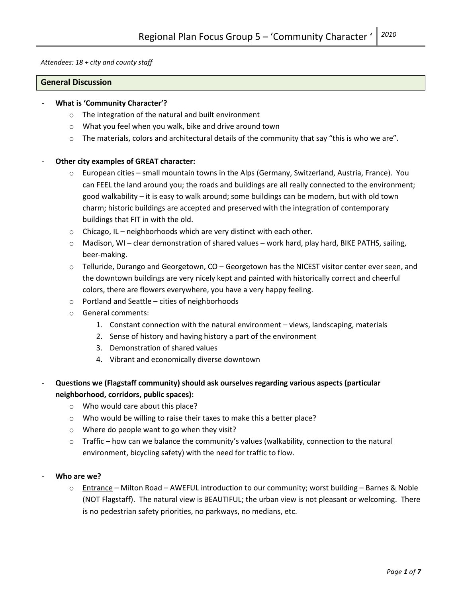Attendees: 18 + city and county staff

#### General Discussion

#### What is 'Community Character'?

- o The integration of the natural and built environment
- o What you feel when you walk, bike and drive around town
- $\circ$  The materials, colors and architectural details of the community that say "this is who we are".

#### Other city examples of GREAT character:

- $\circ$  European cities small mountain towns in the Alps (Germany, Switzerland, Austria, France). You can FEEL the land around you; the roads and buildings are all really connected to the environment; good walkability – it is easy to walk around; some buildings can be modern, but with old town charm; historic buildings are accepted and preserved with the integration of contemporary buildings that FIT in with the old.
- $\circ$  Chicago, IL neighborhoods which are very distinct with each other.
- $\circ$  Madison, WI clear demonstration of shared values work hard, play hard, BIKE PATHS, sailing, beer-making.
- $\circ$  Telluride, Durango and Georgetown, CO Georgetown has the NICEST visitor center ever seen, and the downtown buildings are very nicely kept and painted with historically correct and cheerful colors, there are flowers everywhere, you have a very happy feeling.
- o Portland and Seattle cities of neighborhoods
- o General comments:
	- 1. Constant connection with the natural environment views, landscaping, materials
	- 2. Sense of history and having history a part of the environment
	- 3. Demonstration of shared values
	- 4. Vibrant and economically diverse downtown
- Questions we (Flagstaff community) should ask ourselves regarding various aspects (particular neighborhood, corridors, public spaces):
	- o Who would care about this place?
	- o Who would be willing to raise their taxes to make this a better place?
	- o Where do people want to go when they visit?
	- $\circ$  Traffic how can we balance the community's values (walkability, connection to the natural environment, bicycling safety) with the need for traffic to flow.
- Who are we?
	- $\circ$  Entrance Milton Road AWEFUL introduction to our community; worst building Barnes & Noble (NOT Flagstaff). The natural view is BEAUTIFUL; the urban view is not pleasant or welcoming. There is no pedestrian safety priorities, no parkways, no medians, etc.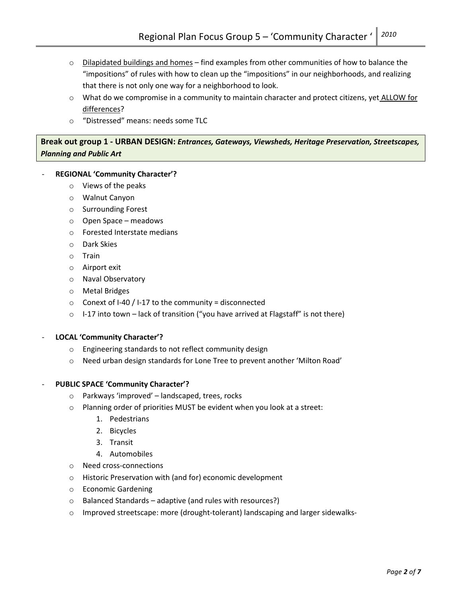- o Dilapidated buildings and homes find examples from other communities of how to balance the "impositions" of rules with how to clean up the "impositions" in our neighborhoods, and realizing that there is not only one way for a neighborhood to look.
- $\circ$  What do we compromise in a community to maintain character and protect citizens, yet ALLOW for differences?
- o "Distressed" means: needs some TLC

# Break out group 1 - URBAN DESIGN: Entrances, Gateways, Viewsheds, Heritage Preservation, Streetscapes, Planning and Public Art

# REGIONAL 'Community Character'?

- o Views of the peaks
- o Walnut Canyon
- o Surrounding Forest
- o Open Space meadows
- o Forested Interstate medians
- o Dark Skies
- o Train
- o Airport exit
- o Naval Observatory
- o Metal Bridges
- $\circ$  Conext of I-40 / I-17 to the community = disconnected
- $\circ$  I-17 into town lack of transition ("you have arrived at Flagstaff" is not there)

## LOCAL 'Community Character'?

- o Engineering standards to not reflect community design
- o Need urban design standards for Lone Tree to prevent another 'Milton Road'

# PUBLIC SPACE 'Community Character'?

- o Parkways 'improved' landscaped, trees, rocks
- o Planning order of priorities MUST be evident when you look at a street:
	- 1. Pedestrians
	- 2. Bicycles
	- 3. Transit
	- 4. Automobiles
- o Need cross-connections
- o Historic Preservation with (and for) economic development
- o Economic Gardening
- o Balanced Standards adaptive (and rules with resources?)
- o Improved streetscape: more (drought-tolerant) landscaping and larger sidewalks-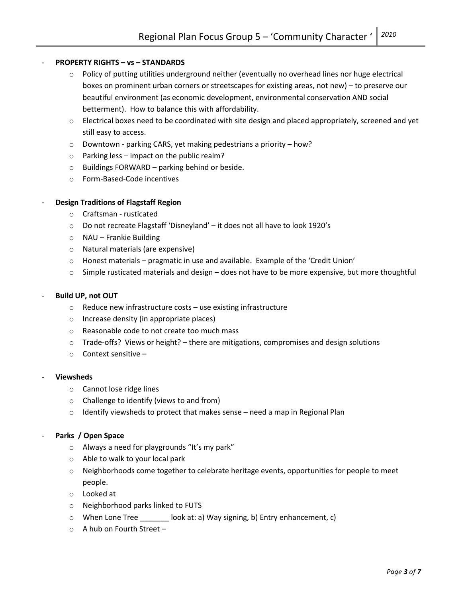## PROPERTY RIGHTS – vs – STANDARDS

- o Policy of putting utilities underground neither (eventually no overhead lines nor huge electrical boxes on prominent urban corners or streetscapes for existing areas, not new) – to preserve our beautiful environment (as economic development, environmental conservation AND social betterment). How to balance this with affordability.
- $\circ$  Electrical boxes need to be coordinated with site design and placed appropriately, screened and yet still easy to access.
- o Downtown parking CARS, yet making pedestrians a priority how?
- $\circ$  Parking less impact on the public realm?
- $\circ$  Buildings FORWARD parking behind or beside.
- o Form-Based-Code incentives

## Design Traditions of Flagstaff Region

- o Craftsman rusticated
- o Do not recreate Flagstaff 'Disneyland' it does not all have to look 1920's
- o NAU Frankie Building
- o Natural materials (are expensive)
- o Honest materials pragmatic in use and available. Example of the 'Credit Union'
- $\circ$  Simple rusticated materials and design does not have to be more expensive, but more thoughtful

#### Build UP, not OUT

- o Reduce new infrastructure costs use existing infrastructure
- o Increase density (in appropriate places)
- o Reasonable code to not create too much mass
- $\circ$  Trade-offs? Views or height? there are mitigations, compromises and design solutions
- o Context sensitive –

## **Viewsheds**

- o Cannot lose ridge lines
- o Challenge to identify (views to and from)
- $\circ$  Identify viewsheds to protect that makes sense need a map in Regional Plan

## Parks / Open Space

- o Always a need for playgrounds "It's my park"
- o Able to walk to your local park
- $\circ$  Neighborhoods come together to celebrate heritage events, opportunities for people to meet people.
- o Looked at
- o Neighborhood parks linked to FUTS
- o When Lone Tree \_\_\_\_\_\_\_ look at: a) Way signing, b) Entry enhancement, c)
- o A hub on Fourth Street –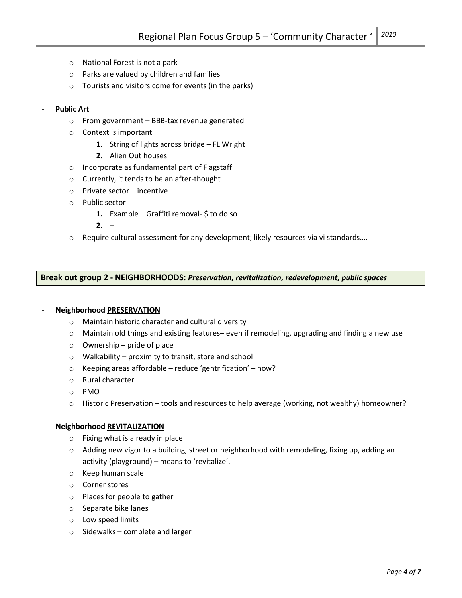- o National Forest is not a park
- o Parks are valued by children and families
- o Tourists and visitors come for events (in the parks)

## Public Art

- o From government BBB-tax revenue generated
- o Context is important
	- 1. String of lights across bridge FL Wright
	- 2. Alien Out houses
- o Incorporate as fundamental part of Flagstaff
- o Currently, it tends to be an after-thought
- o Private sector incentive
- o Public sector
	- 1. Example Graffiti removal- $\oint$  to do so
	- $2. -$
- $\circ$  Require cultural assessment for any development; likely resources via vi standards....

## Break out group 2 - NEIGHBORHOODS: Preservation, revitalization, redevelopment, public spaces

#### Neighborhood PRESERVATION

- o Maintain historic character and cultural diversity
- $\circ$  Maintain old things and existing features– even if remodeling, upgrading and finding a new use
- $\circ$  Ownership pride of place
- o Walkability proximity to transit, store and school
- $\circ$  Keeping areas affordable reduce 'gentrification' how?
- o Rural character
- o PMO
- $\circ$  Historic Preservation tools and resources to help average (working, not wealthy) homeowner?

## Neighborhood REVITALIZATION

- o Fixing what is already in place
- $\circ$  Adding new vigor to a building, street or neighborhood with remodeling, fixing up, adding an activity (playground) – means to 'revitalize'.
- o Keep human scale
- o Corner stores
- o Places for people to gather
- o Separate bike lanes
- o Low speed limits
- o Sidewalks complete and larger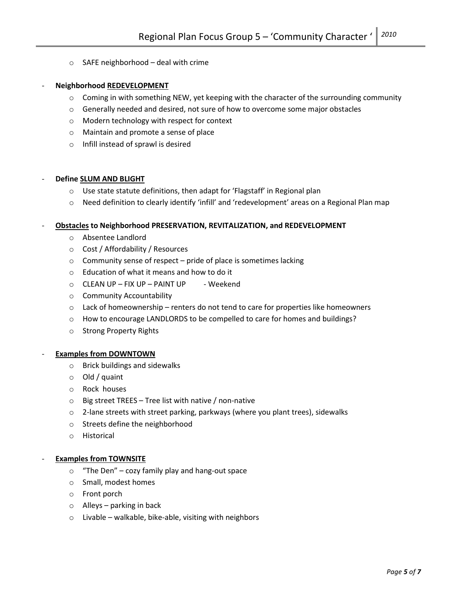o SAFE neighborhood – deal with crime

#### Neighborhood REDEVELOPMENT

- $\circ$  Coming in with something NEW, yet keeping with the character of the surrounding community
- $\circ$  Generally needed and desired, not sure of how to overcome some major obstacles
- o Modern technology with respect for context
- o Maintain and promote a sense of place
- o Infill instead of sprawl is desired

#### Define SLUM AND BLIGHT

- o Use state statute definitions, then adapt for 'Flagstaff' in Regional plan
- $\circ$  Need definition to clearly identify 'infill' and 'redevelopment' areas on a Regional Plan map

#### - Obstacles to Neighborhood PRESERVATION, REVITALIZATION, and REDEVELOPMENT

- o Absentee Landlord
- o Cost / Affordability / Resources
- o Community sense of respect pride of place is sometimes lacking
- o Education of what it means and how to do it
- $\circ$  CLEAN UP FIX UP PAINT UP Weekend
- o Community Accountability
- $\circ$  Lack of homeownership renters do not tend to care for properties like homeowners
- o How to encourage LANDLORDS to be compelled to care for homes and buildings?
- o Strong Property Rights

#### **Examples from DOWNTOWN**

- o Brick buildings and sidewalks
- o Old / quaint
- o Rock houses
- $\circ$  Big street TREES Tree list with native / non-native
- $\circ$  2-lane streets with street parking, parkways (where you plant trees), sidewalks
- o Streets define the neighborhood
- o Historical

#### **Examples from TOWNSITE**

- o "The Den" cozy family play and hang-out space
- o Small, modest homes
- o Front porch
- $\circ$  Alleys parking in back
- $\circ$  Livable walkable, bike-able, visiting with neighbors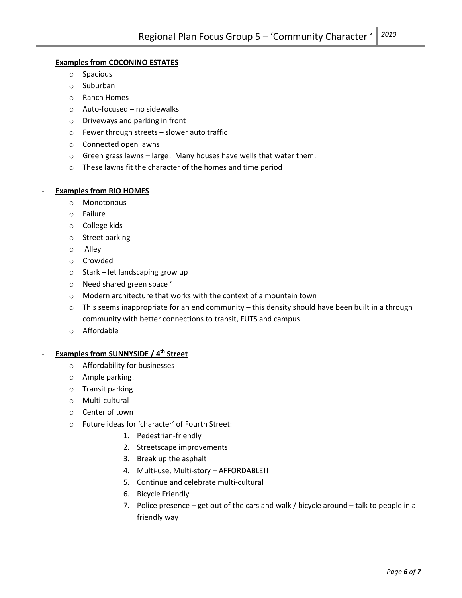# **Examples from COCONINO ESTATES**

- o Spacious
- o Suburban
- o Ranch Homes
- o Auto-focused no sidewalks
- o Driveways and parking in front
- o Fewer through streets slower auto traffic
- o Connected open lawns
- $\circ$  Green grass lawns large! Many houses have wells that water them.
- o These lawns fit the character of the homes and time period

## **Examples from RIO HOMES**

- o Monotonous
- o Failure
- o College kids
- o Street parking
- o Alley
- o Crowded
- o Stark let landscaping grow up
- o Need shared green space '
- o Modern architecture that works with the context of a mountain town
- $\circ$  This seems inappropriate for an end community this density should have been built in a through community with better connections to transit, FUTS and campus
- o Affordable

# Examples from SUNNYSIDE / 4<sup>th</sup> Street

- o Affordability for businesses
- o Ample parking!
- o Transit parking
- o Multi-cultural
- o Center of town
- o Future ideas for 'character' of Fourth Street:
	- 1. Pedestrian-friendly
	- 2. Streetscape improvements
	- 3. Break up the asphalt
	- 4. Multi-use, Multi-story AFFORDABLE!!
	- 5. Continue and celebrate multi-cultural
	- 6. Bicycle Friendly
	- 7. Police presence get out of the cars and walk / bicycle around talk to people in a friendly way